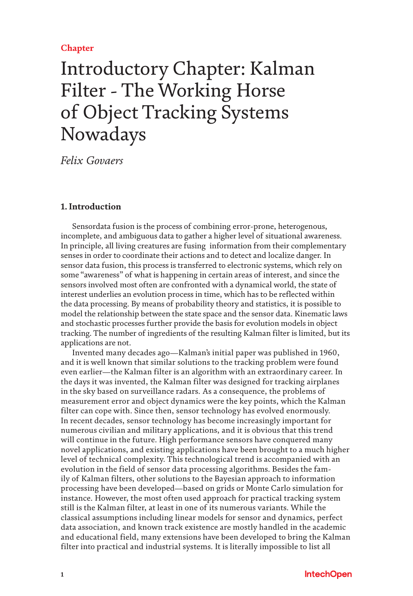## **Chapter**

# Introductory Chapter: Kalman Filter - The Working Horse of Object Tracking Systems Nowadays

*Felix Govaers*

### **1. Introduction**

Sensordata fusion is the process of combining error-prone, heterogenous, incomplete, and ambiguous data to gather a higher level of situational awareness. In principle, all living creatures are fusing information from their complementary senses in order to coordinate their actions and to detect and localize danger. In sensor data fusion, this process is transferred to electronic systems, which rely on some "awareness" of what is happening in certain areas of interest, and since the sensors involved most often are confronted with a dynamical world, the state of interest underlies an evolution process in time, which has to be reflected within the data processing. By means of probability theory and statistics, it is possible to model the relationship between the state space and the sensor data. Kinematic laws and stochastic processes further provide the basis for evolution models in object tracking. The number of ingredients of the resulting Kalman filter is limited, but its applications are not.

Invented many decades ago—Kalman's initial paper was published in 1960, and it is well known that similar solutions to the tracking problem were found even earlier—the Kalman filter is an algorithm with an extraordinary career. In the days it was invented, the Kalman filter was designed for tracking airplanes in the sky based on surveillance radars. As a consequence, the problems of measurement error and object dynamics were the key points, which the Kalman filter can cope with. Since then, sensor technology has evolved enormously. In recent decades, sensor technology has become increasingly important for numerous civilian and military applications, and it is obvious that this trend will continue in the future. High performance sensors have conquered many novel applications, and existing applications have been brought to a much higher level of technical complexity. This technological trend is accompanied with an evolution in the field of sensor data processing algorithms. Besides the family of Kalman filters, other solutions to the Bayesian approach to information processing have been developed—based on grids or Monte Carlo simulation for instance. However, the most often used approach for practical tracking system still is the Kalman filter, at least in one of its numerous variants. While the classical assumptions including linear models for sensor and dynamics, perfect data association, and known track existence are mostly handled in the academic and educational field, many extensions have been developed to bring the Kalman filter into practical and industrial systems. It is literally impossible to list all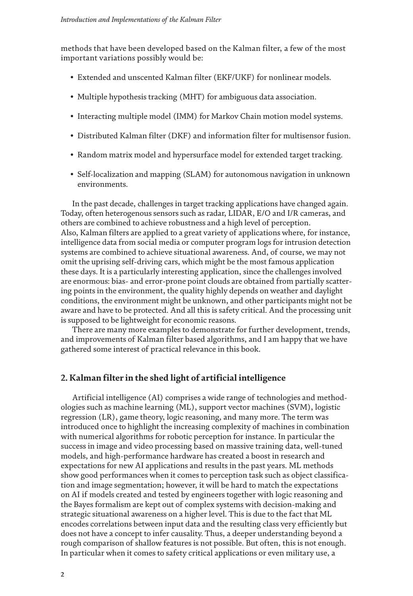methods that have been developed based on the Kalman filter, a few of the most important variations possibly would be:

- Extended and unscented Kalman filter (EKF/UKF) for nonlinear models.
- Multiple hypothesis tracking (MHT) for ambiguous data association.
- Interacting multiple model (IMM) for Markov Chain motion model systems.
- Distributed Kalman filter (DKF) and information filter for multisensor fusion.
- Random matrix model and hypersurface model for extended target tracking.
- Self-localization and mapping (SLAM) for autonomous navigation in unknown environments.

In the past decade, challenges in target tracking applications have changed again. Today, often heterogenous sensors such as radar, LIDAR, E/O and I/R cameras, and others are combined to achieve robustness and a high level of perception. Also, Kalman filters are applied to a great variety of applications where, for instance, intelligence data from social media or computer program logs for intrusion detection systems are combined to achieve situational awareness. And, of course, we may not omit the uprising self-driving cars, which might be the most famous application these days. It is a particularly interesting application, since the challenges involved are enormous: bias- and error-prone point clouds are obtained from partially scattering points in the environment, the quality highly depends on weather and daylight conditions, the environment might be unknown, and other participants might not be aware and have to be protected. And all this is safety critical. And the processing unit is supposed to be lightweight for economic reasons.

There are many more examples to demonstrate for further development, trends, and improvements of Kalman filter based algorithms, and I am happy that we have gathered some interest of practical relevance in this book.

#### **2. Kalman filter in the shed light of artificial intelligence**

Artificial intelligence (AI) comprises a wide range of technologies and methodologies such as machine learning (ML), support vector machines (SVM), logistic regression (LR), game theory, logic reasoning, and many more. The term was introduced once to highlight the increasing complexity of machines in combination with numerical algorithms for robotic perception for instance. In particular the success in image and video processing based on massive training data, well-tuned models, and high-performance hardware has created a boost in research and expectations for new AI applications and results in the past years. ML methods show good performances when it comes to perception task such as object classification and image segmentation; however, it will be hard to match the expectations on AI if models created and tested by engineers together with logic reasoning and the Bayes formalism are kept out of complex systems with decision-making and strategic situational awareness on a higher level. This is due to the fact that ML encodes correlations between input data and the resulting class very efficiently but does not have a concept to infer causality. Thus, a deeper understanding beyond a rough comparison of shallow features is not possible. But often, this is not enough. In particular when it comes to safety critical applications or even military use, a